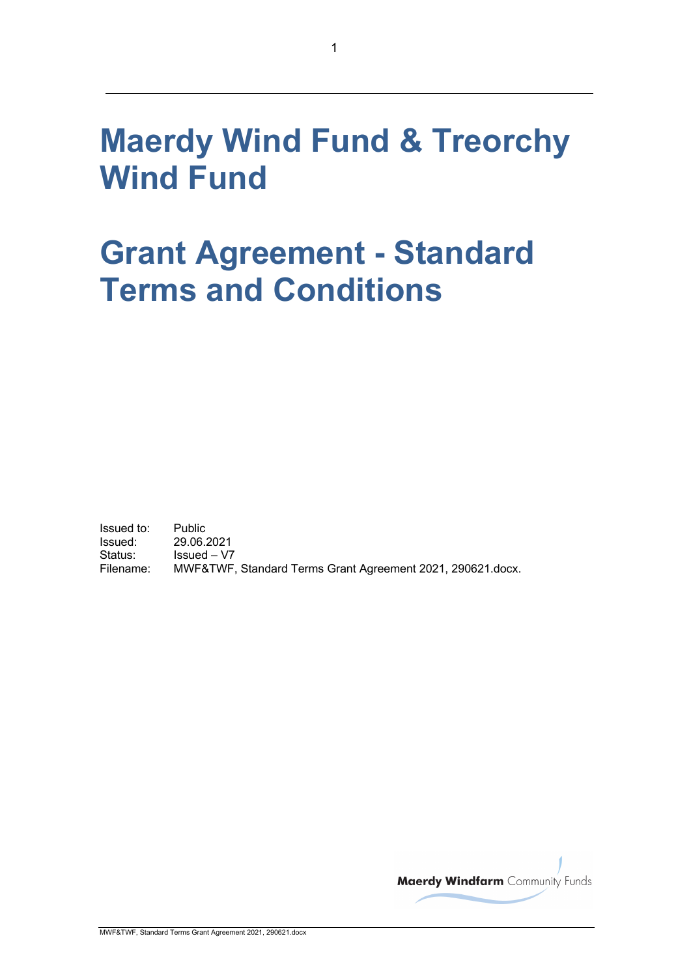# **Maerdy Wind Fund & Treorchy Wind Fund**

# **Grant Agreement - Standard Terms and Conditions**

**Issued to:** Public<br>Issued: 29.06.2021 Issued:<br>Issued:<br>Status: Issued – V7 Filename: MWF&TWF, Standard Terms Grant Agreement 2021, 290621.docx.

**Maerdy Windfarm** Community Funds

MWF&TWF, Standard Terms Grant Agreement 2021, 290621.docx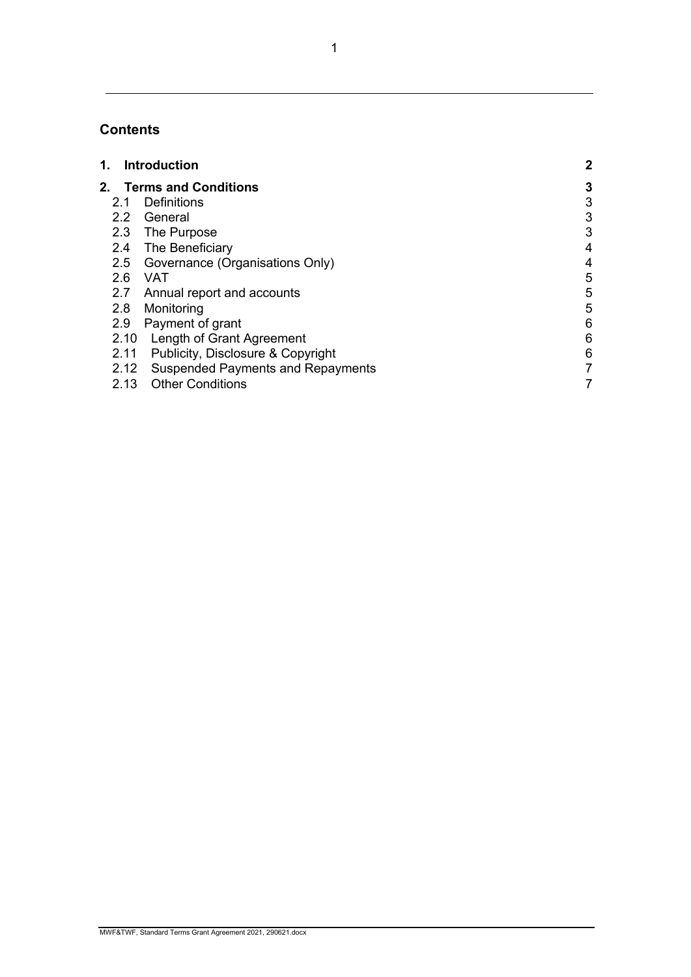#### **Contents**

| 1.                      | <b>Introduction</b>                      | 2                        |
|-------------------------|------------------------------------------|--------------------------|
| 2. Terms and Conditions |                                          | 3                        |
| 2.1                     | <b>Definitions</b>                       | 3                        |
| $2.2^{\circ}$           | General                                  | 3                        |
| 2.3                     | The Purpose                              | 3                        |
| 2.4                     | The Beneficiary                          | 4                        |
| 2.5                     | Governance (Organisations Only)          | $\overline{\mathcal{A}}$ |
| 2.6                     | VAT                                      | 5                        |
| 2.7                     | Annual report and accounts               | 5                        |
| 2.8                     | Monitoring                               | 5                        |
| 2.9                     | Payment of grant                         | 6                        |
| 2.10                    | Length of Grant Agreement                | 6                        |
| 2.11                    | Publicity, Disclosure & Copyright        | 6                        |
| 2.12                    | <b>Suspended Payments and Repayments</b> | 7                        |
| 2.13                    | <b>Other Conditions</b>                  |                          |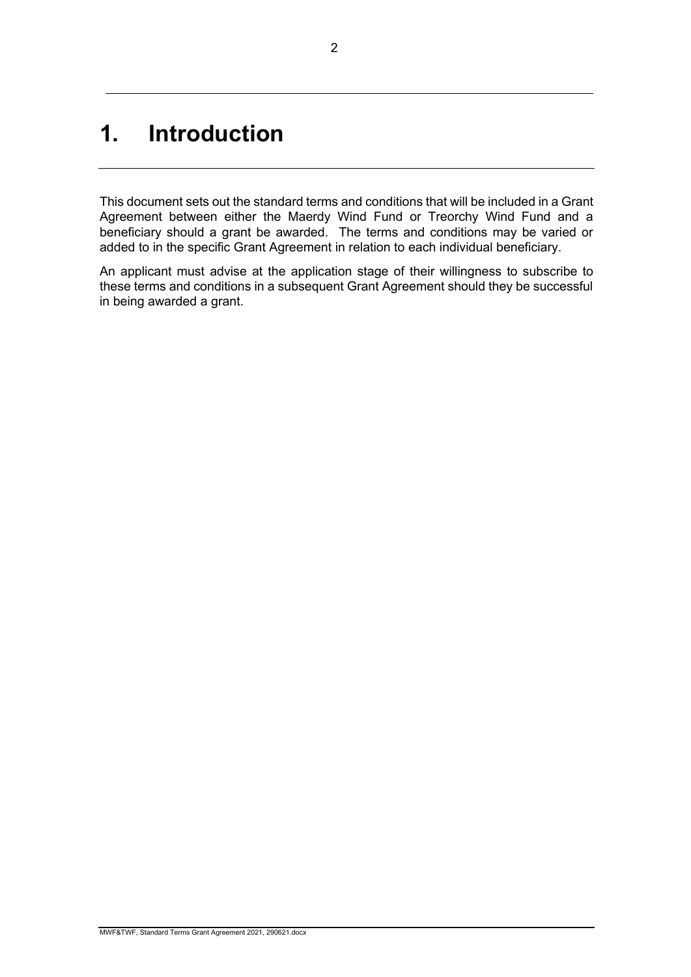# **1. Introduction**

This document sets out the standard terms and conditions that will be included in a Grant Agreement between either the Maerdy Wind Fund or Treorchy Wind Fund and a beneficiary should a grant be awarded. The terms and conditions may be varied or added to in the specific Grant Agreement in relation to each individual beneficiary.

An applicant must advise at the application stage of their willingness to subscribe to these terms and conditions in a subsequent Grant Agreement should they be successful in being awarded a grant.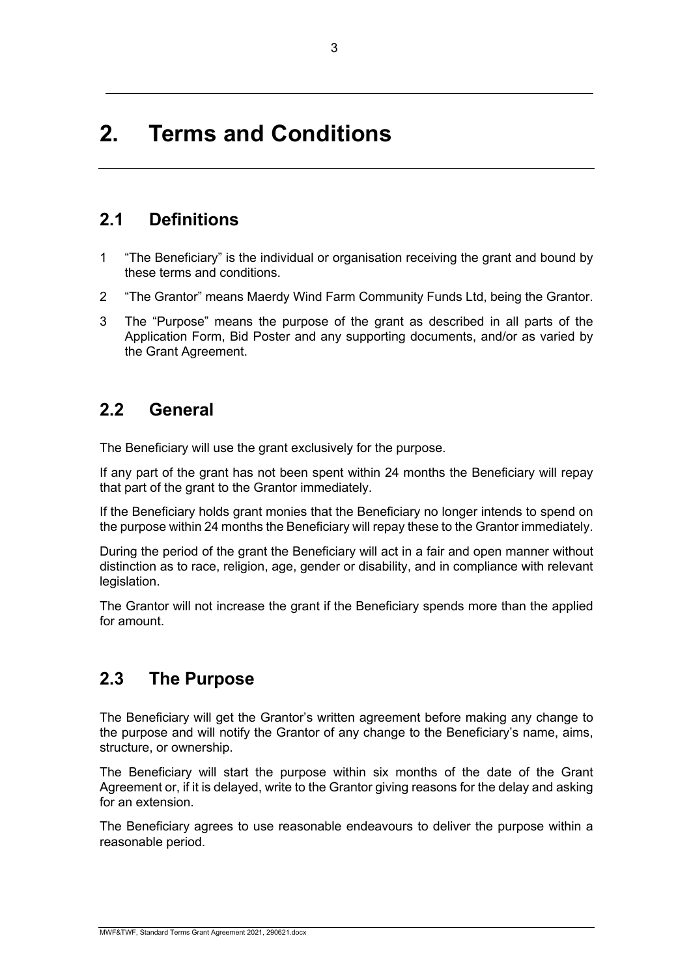# **2. Terms and Conditions**

#### **2.1 Definitions**

- 1 "The Beneficiary" is the individual or organisation receiving the grant and bound by these terms and conditions.
- 2 "The Grantor" means Maerdy Wind Farm Community Funds Ltd, being the Grantor.
- 3 The "Purpose" means the purpose of the grant as described in all parts of the Application Form, Bid Poster and any supporting documents, and/or as varied by the Grant Agreement.

#### **2.2 General**

The Beneficiary will use the grant exclusively for the purpose.

If any part of the grant has not been spent within 24 months the Beneficiary will repay that part of the grant to the Grantor immediately.

If the Beneficiary holds grant monies that the Beneficiary no longer intends to spend on the purpose within 24 months the Beneficiary will repay these to the Grantor immediately.

During the period of the grant the Beneficiary will act in a fair and open manner without distinction as to race, religion, age, gender or disability, and in compliance with relevant legislation.

The Grantor will not increase the grant if the Beneficiary spends more than the applied for amount.

#### **2.3 The Purpose**

The Beneficiary will get the Grantor's written agreement before making any change to the purpose and will notify the Grantor of any change to the Beneficiary's name, aims, structure, or ownership.

The Beneficiary will start the purpose within six months of the date of the Grant Agreement or, if it is delayed, write to the Grantor giving reasons for the delay and asking for an extension.

The Beneficiary agrees to use reasonable endeavours to deliver the purpose within a reasonable period.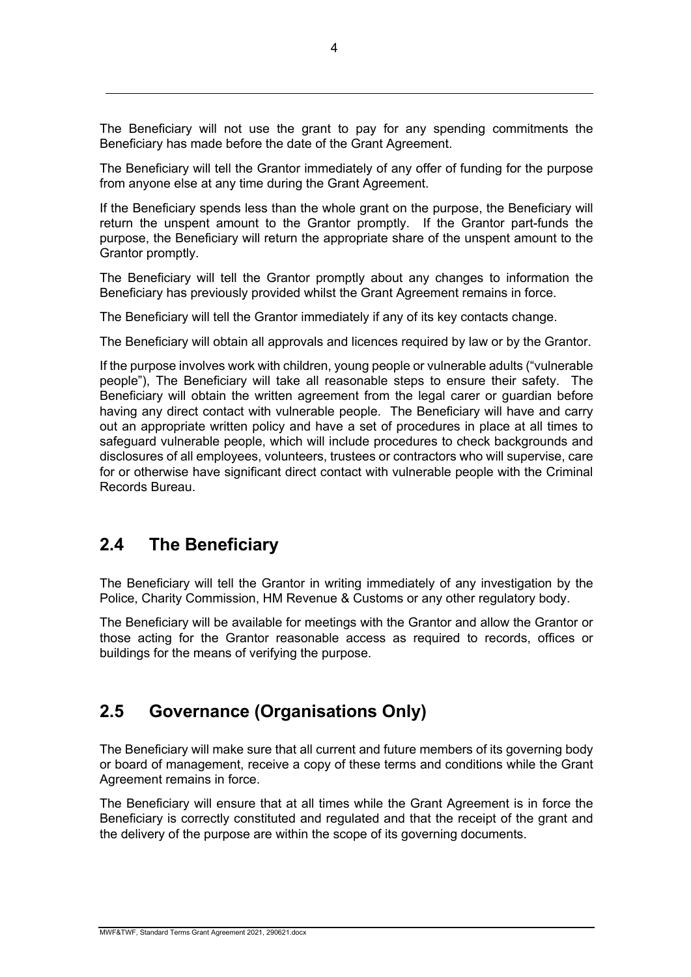The Beneficiary will not use the grant to pay for any spending commitments the Beneficiary has made before the date of the Grant Agreement.

The Beneficiary will tell the Grantor immediately of any offer of funding for the purpose from anyone else at any time during the Grant Agreement.

If the Beneficiary spends less than the whole grant on the purpose, the Beneficiary will return the unspent amount to the Grantor promptly. If the Grantor part-funds the purpose, the Beneficiary will return the appropriate share of the unspent amount to the Grantor promptly.

The Beneficiary will tell the Grantor promptly about any changes to information the Beneficiary has previously provided whilst the Grant Agreement remains in force.

The Beneficiary will tell the Grantor immediately if any of its key contacts change.

The Beneficiary will obtain all approvals and licences required by law or by the Grantor.

If the purpose involves work with children, young people or vulnerable adults ("vulnerable people"), The Beneficiary will take all reasonable steps to ensure their safety. The Beneficiary will obtain the written agreement from the legal carer or guardian before having any direct contact with vulnerable people. The Beneficiary will have and carry out an appropriate written policy and have a set of procedures in place at all times to safeguard vulnerable people, which will include procedures to check backgrounds and disclosures of all employees, volunteers, trustees or contractors who will supervise, care for or otherwise have significant direct contact with vulnerable people with the Criminal Records Bureau.

#### **2.4 The Beneficiary**

The Beneficiary will tell the Grantor in writing immediately of any investigation by the Police, Charity Commission, HM Revenue & Customs or any other regulatory body.

The Beneficiary will be available for meetings with the Grantor and allow the Grantor or those acting for the Grantor reasonable access as required to records, offices or buildings for the means of verifying the purpose.

#### **2.5 Governance (Organisations Only)**

The Beneficiary will make sure that all current and future members of its governing body or board of management, receive a copy of these terms and conditions while the Grant Agreement remains in force.

The Beneficiary will ensure that at all times while the Grant Agreement is in force the Beneficiary is correctly constituted and regulated and that the receipt of the grant and the delivery of the purpose are within the scope of its governing documents.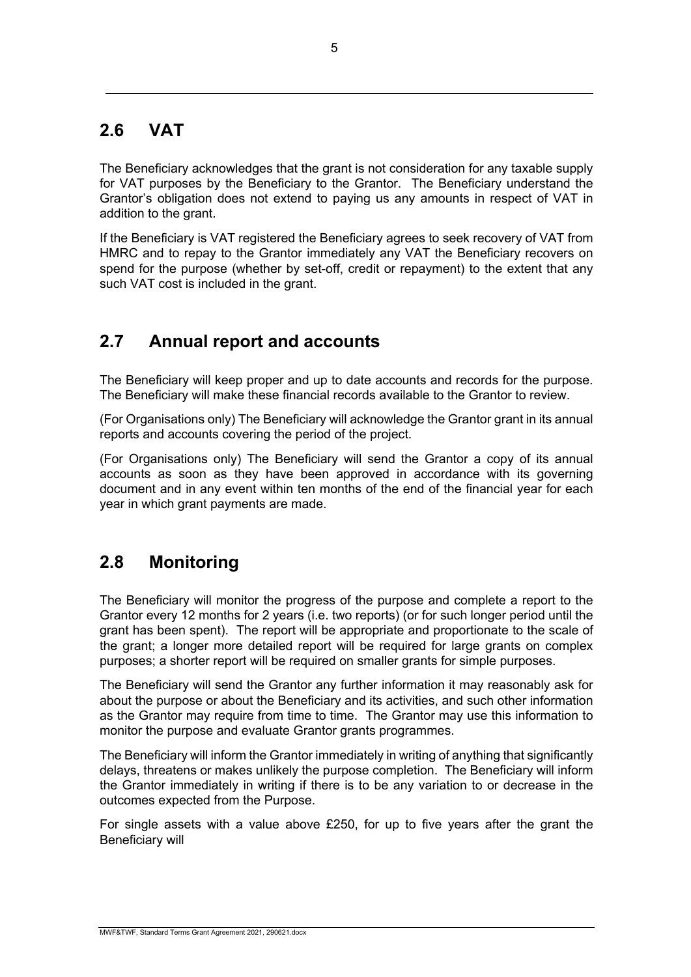## **2.6 VAT**

The Beneficiary acknowledges that the grant is not consideration for any taxable supply for VAT purposes by the Beneficiary to the Grantor. The Beneficiary understand the Grantor's obligation does not extend to paying us any amounts in respect of VAT in addition to the grant.

If the Beneficiary is VAT registered the Beneficiary agrees to seek recovery of VAT from HMRC and to repay to the Grantor immediately any VAT the Beneficiary recovers on spend for the purpose (whether by set-off, credit or repayment) to the extent that any such VAT cost is included in the grant.

# **2.7 Annual report and accounts**

The Beneficiary will keep proper and up to date accounts and records for the purpose. The Beneficiary will make these financial records available to the Grantor to review.

(For Organisations only) The Beneficiary will acknowledge the Grantor grant in its annual reports and accounts covering the period of the project.

(For Organisations only) The Beneficiary will send the Grantor a copy of its annual accounts as soon as they have been approved in accordance with its governing document and in any event within ten months of the end of the financial year for each year in which grant payments are made.

#### **2.8 Monitoring**

The Beneficiary will monitor the progress of the purpose and complete a report to the Grantor every 12 months for 2 years (i.e. two reports) (or for such longer period until the grant has been spent). The report will be appropriate and proportionate to the scale of the grant; a longer more detailed report will be required for large grants on complex purposes; a shorter report will be required on smaller grants for simple purposes.

The Beneficiary will send the Grantor any further information it may reasonably ask for about the purpose or about the Beneficiary and its activities, and such other information as the Grantor may require from time to time. The Grantor may use this information to monitor the purpose and evaluate Grantor grants programmes.

The Beneficiary will inform the Grantor immediately in writing of anything that significantly delays, threatens or makes unlikely the purpose completion. The Beneficiary will inform the Grantor immediately in writing if there is to be any variation to or decrease in the outcomes expected from the Purpose.

For single assets with a value above £250, for up to five years after the grant the Beneficiary will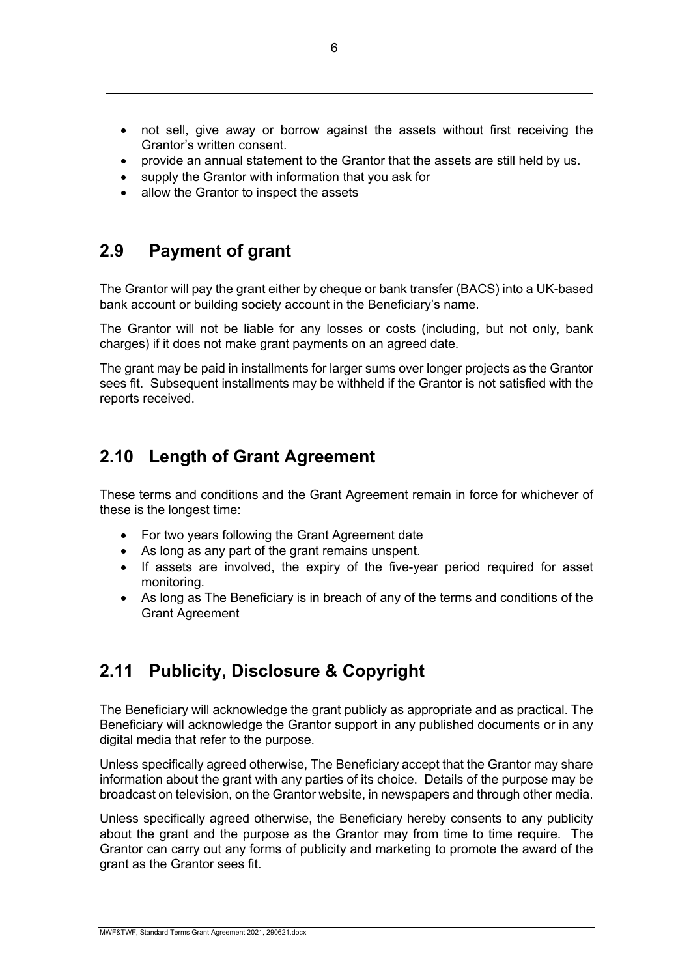- not sell, give away or borrow against the assets without first receiving the Grantor's written consent.
- provide an annual statement to the Grantor that the assets are still held by us.
- supply the Grantor with information that you ask for
- allow the Grantor to inspect the assets

#### **2.9 Payment of grant**

The Grantor will pay the grant either by cheque or bank transfer (BACS) into a UK-based bank account or building society account in the Beneficiary's name.

The Grantor will not be liable for any losses or costs (including, but not only, bank charges) if it does not make grant payments on an agreed date.

The grant may be paid in installments for larger sums over longer projects as the Grantor sees fit. Subsequent installments may be withheld if the Grantor is not satisfied with the reports received.

### **2.10 Length of Grant Agreement**

These terms and conditions and the Grant Agreement remain in force for whichever of these is the longest time:

- For two years following the Grant Agreement date
- As long as any part of the grant remains unspent.
- If assets are involved, the expiry of the five-year period required for asset monitoring.
- As long as The Beneficiary is in breach of any of the terms and conditions of the Grant Agreement

## **2.11 Publicity, Disclosure & Copyright**

The Beneficiary will acknowledge the grant publicly as appropriate and as practical. The Beneficiary will acknowledge the Grantor support in any published documents or in any digital media that refer to the purpose.

Unless specifically agreed otherwise, The Beneficiary accept that the Grantor may share information about the grant with any parties of its choice. Details of the purpose may be broadcast on television, on the Grantor website, in newspapers and through other media.

Unless specifically agreed otherwise, the Beneficiary hereby consents to any publicity about the grant and the purpose as the Grantor may from time to time require. The Grantor can carry out any forms of publicity and marketing to promote the award of the grant as the Grantor sees fit.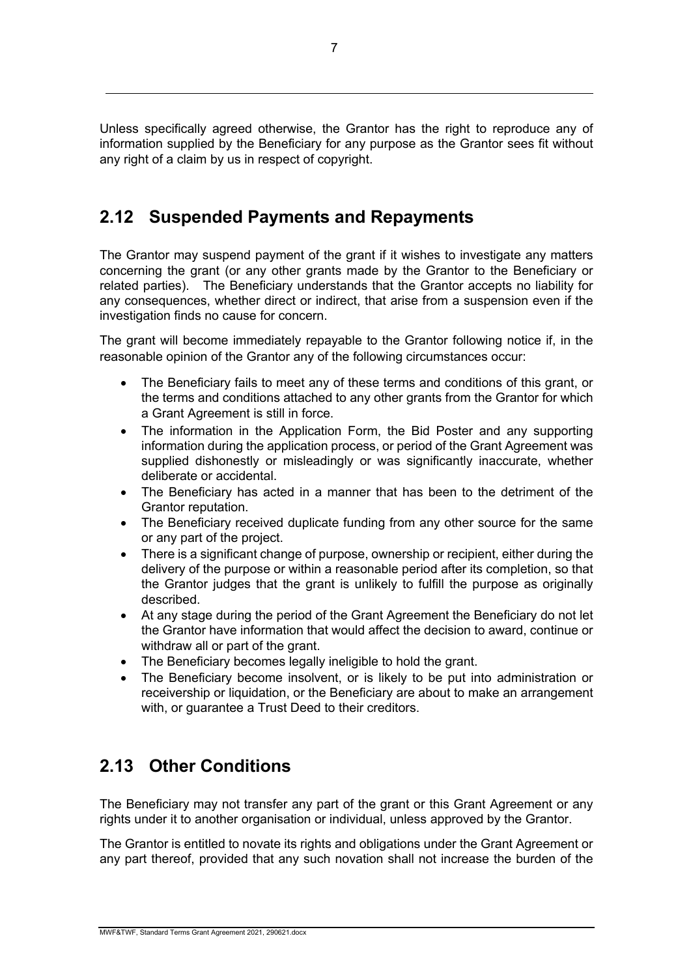Unless specifically agreed otherwise, the Grantor has the right to reproduce any of information supplied by the Beneficiary for any purpose as the Grantor sees fit without any right of a claim by us in respect of copyright.

## **2.12 Suspended Payments and Repayments**

The Grantor may suspend payment of the grant if it wishes to investigate any matters concerning the grant (or any other grants made by the Grantor to the Beneficiary or related parties). The Beneficiary understands that the Grantor accepts no liability for any consequences, whether direct or indirect, that arise from a suspension even if the investigation finds no cause for concern.

The grant will become immediately repayable to the Grantor following notice if, in the reasonable opinion of the Grantor any of the following circumstances occur:

- The Beneficiary fails to meet any of these terms and conditions of this grant, or the terms and conditions attached to any other grants from the Grantor for which a Grant Agreement is still in force.
- The information in the Application Form, the Bid Poster and any supporting information during the application process, or period of the Grant Agreement was supplied dishonestly or misleadingly or was significantly inaccurate, whether deliberate or accidental.
- The Beneficiary has acted in a manner that has been to the detriment of the Grantor reputation.
- The Beneficiary received duplicate funding from any other source for the same or any part of the project.
- There is a significant change of purpose, ownership or recipient, either during the delivery of the purpose or within a reasonable period after its completion, so that the Grantor judges that the grant is unlikely to fulfill the purpose as originally described.
- At any stage during the period of the Grant Agreement the Beneficiary do not let the Grantor have information that would affect the decision to award, continue or withdraw all or part of the grant.
- The Beneficiary becomes legally ineligible to hold the grant.
- The Beneficiary become insolvent, or is likely to be put into administration or receivership or liquidation, or the Beneficiary are about to make an arrangement with, or guarantee a Trust Deed to their creditors.

#### **2.13 Other Conditions**

The Beneficiary may not transfer any part of the grant or this Grant Agreement or any rights under it to another organisation or individual, unless approved by the Grantor.

The Grantor is entitled to novate its rights and obligations under the Grant Agreement or any part thereof, provided that any such novation shall not increase the burden of the